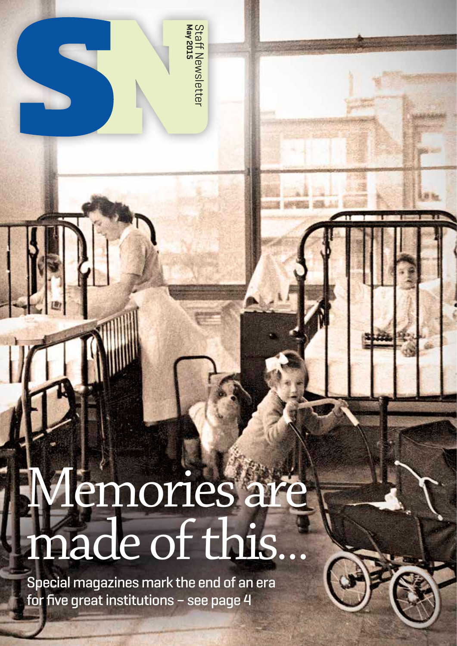**Staff Newsletter**<br>May 2015 Staff Newsletter

# Memories are made of this…

Special magazines mark the end of an era for five great institutions – see page 4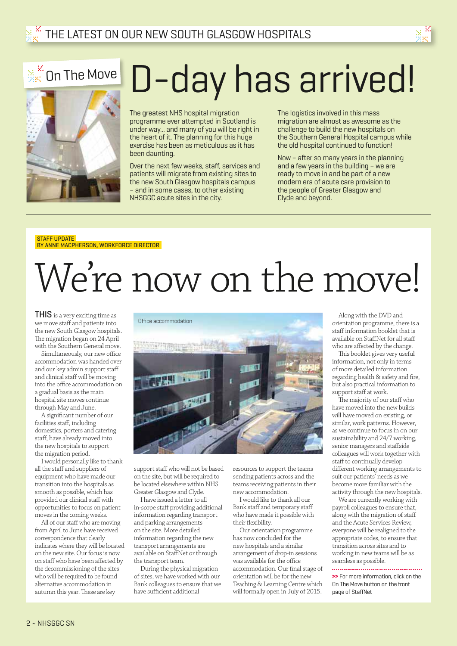# D-day has arrived!

The greatest NHS hospital migration programme ever attempted in Scotland is under way... and many of you will be right in the heart of it. The planning for this huge exercise has been as meticulous as it has been daunting.

Over the next few weeks, staff, services and patients will migrate from existing sites to the new South Glasgow hospitals campus – and in some cases, to other existing NHSGGC acute sites in the city.

The logistics involved in this mass migration are almost as awesome as the challenge to build the new hospitals on the Southern General Hospital campus while the old hospital continued to function!

Now – after so many years in the planning and a few years in the building – we are ready to move in and be part of a new modern era of acute care provision to the people of Greater Glasgow and Clyde and beyond.

#### STAFF UPDATE BY ANNE MACPHERSON, WORKFORCE DIRECTOR

# We're now on the move!

THIS is a very exciting time as we move staff and patients into the new South Glasgow hospitals. The migration began on 24 April with the Southern General move.

 $\mathbb{R}^\mathbb{K}$  On The Move

Simultaneously, our new office accommodation was handed over and our key admin support staff and clinical staff will be moving into the office accommodation on a gradual basis as the main hospital site moves continue through May and June.

A significant number of our facilities staff, including domestics, porters and catering staff, have already moved into the new hospitals to support the migration period.

I would personally like to thank all the staff and suppliers of equipment who have made our transition into the hospitals as smooth as possible, which has provided our clinical staff with opportunities to focus on patient moves in the coming weeks.

All of our staff who are moving from April to June have received correspondence that clearly indicates where they will be located on the new site. Our focus is now on staff who have been affected by the decommissioning of the sites who will be required to be found alternative accommodation in autumn this year. These are key

Office accommodation



support staff who will not be based on the site, but will be required to be located elsewhere within NHS Greater Glasgow and Clyde.

I have issued a letter to all in-scope staff providing additional information regarding transport and parking arrangements on the site. More detailed information regarding the new transport arrangements are

available on StaffNet or through the transport team. During the physical migration

of sites, we have worked with our Bank colleagues to ensure that we have sufficient additional

resources to support the teams sending patients across and the teams receiving patients in their new accommodation.

I would like to thank all our Bank staff and temporary staff who have made it possible with their flexibility.

Our orientation programme has now concluded for the new hospitals and a similar arrangement of drop-in sessions was available for the office accommodation. Our final stage of orientation will be for the new Teaching & Learning Centre which will formally open in July of 2015.

Along with the DVD and orientation programme, there is a staff information booklet that is available on StaffNet for all staff who are affected by the change.

This booklet gives very useful information, not only in terms of more detailed information regarding health & safety and fire, but also practical information to support staff at work.

The majority of our staff who have moved into the new builds will have moved on existing, or similar, work patterns. However, as we continue to focus in on our sustainability and 24/7 working, senior managers and staffside colleagues will work together with staff to continually develop different working arrangements to suit our patients' needs as we become more familiar with the activity through the new hospitals.

We are currently working with payroll colleagues to ensure that, along with the migration of staff and the Acute Services Review, everyone will be realigned to the appropriate codes, to ensure that transition across sites and to working in new teams will be as seamless as possible.

**>>** For more information, click on the On The Move button on the front page of StaffNet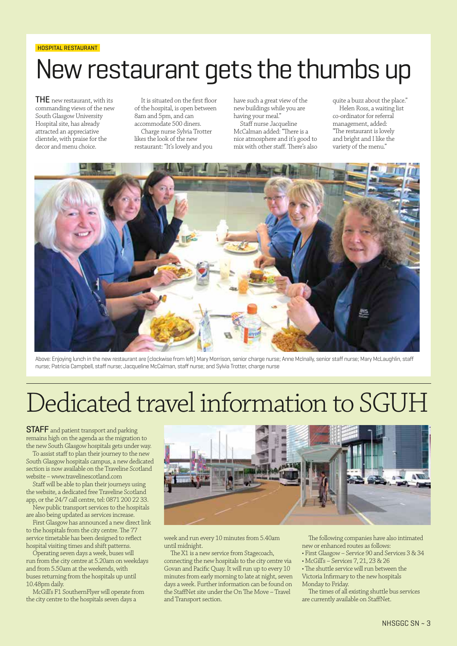#### HOSPITAL RESTAURANT

# New restaurant gets the thumbs up

**THE** new restaurant, with its commanding views of the new South Glasgow University Hospital site, has already attracted an appreciative clientele, with praise for the decor and menu choice.

It is situated on the first floor of the hospital, is open between 8am and 5pm, and can accommodate 500 diners.

Charge nurse Sylvia Trotter likes the look of the new restaurant: "It's lovely and you have such a great view of the new buildings while you are having your meal."

Staff nurse Jacqueline McCalman added: "There is a nice atmosphere and it's good to mix with other staff. There's also quite a buzz about the place." Helen Ross, a waiting list co-ordinator for referral management, added: "The restaurant is lovely and bright and I like the variety of the menu."



Above: Enjoying lunch in the new restaurant are (clockwise from left) Mary Morrison, senior charge nurse; Anne McInally, senior staff nurse; Mary McLaughlin, staff nurse; Patricia Campbell, staff nurse; Jacqueline McCalman, staff nurse; and Sylvia Trotter, charge nurse

# Dedicated travel information to SGUH

STAFF and patient transport and parking remains high on the agenda as the migration to the new South Glasgow hospitals gets under way.

To assist staff to plan their journey to the new South Glasgow hospitals campus, a new dedicated section is now available on the Traveline Scotland website – www.travelinescotland.com

Staff will be able to plan their journeys using the website, a dedicated free Traveline Scotland app, or the 24/7 call centre, tel: 0871 200 22 33.

New public transport services to the hospitals are also being updated as services increase.

First Glasgow has announced a new direct link to the hospitals from the city centre. The 77 service timetable has been designed to reflect hospital visiting times and shift patterns.

Operating seven days a week, buses will run from the city centre at 5.20am on weekdays and from 5.50am at the weekends, with buses returning from the hospitals up until 10.48pm daily.

McGill's F1 SouthernFlyer will operate from the city centre to the hospitals seven days a



week and run every 10 minutes from 5.40am until midnight.

The X1 is a new service from Stagecoach, connecting the new hospitals to the city centre via Govan and Pacific Quay. It will run up to every 10 minutes from early morning to late at night, seven days a week. Further information can be found on the StaffNet site under the On The Move – Travel and Transport section.

The following companies have also intimated new or enhanced routes as follows:

- First Glasgow Service 90 and Services 3 & 34
- McGill's Services 7, 21, 23 & 26

• The shuttle service will run between the Victoria Infirmary to the new hospitals

Monday to Friday.

The times of all existing shuttle bus services are currently available on StaffNet.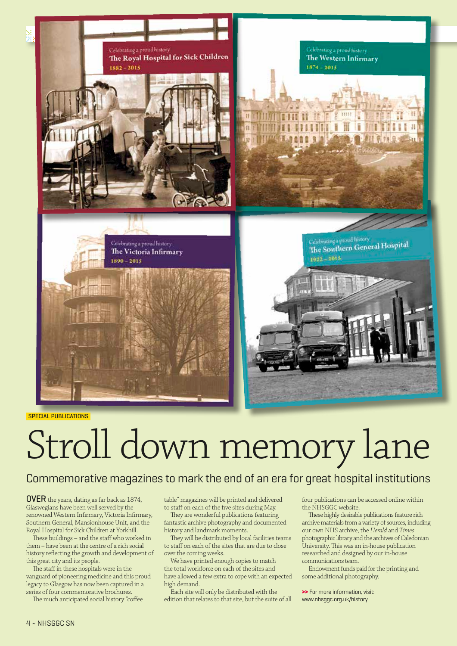

SPECIAL PUBLICATIONS

# Stroll down memory lane

### Commemorative magazines to mark the end of an era for great hospital institutions

OVER the years, dating as far back as 1874, Glaswegians have been well served by the renowned Western Infirmary, Victoria Infirmary, Southern General, Mansionhouse Unit, and the Royal Hospital for Sick Children at Yorkhill.

These buildings – and the staff who worked in them – have been at the centre of a rich social history reflecting the growth and development of this great city and its people.

The staff in these hospitals were in the vanguard of pioneering medicine and this proud legacy to Glasgow has now been captured in a series of four commemorative brochures.

The much anticipated social history "coffee

table" magazines will be printed and delivered to staff on each of the five sites during May.

They are wonderful publications featuring fantastic archive photography and documented history and landmark moments.

They will be distributed by local facilities teams to staff on each of the sites that are due to close over the coming weeks.

We have printed enough copies to match the total workforce on each of the sites and have allowed a few extra to cope with an expected high demand.

Each site will only be distributed with the edition that relates to that site, but the suite of all

four publications can be accessed online within the NHSGGC website.

These highly desirable publications feature rich archive materials from a variety of sources, including our own NHS archive, the *Herald* and *Times* photographic library and the archives of Caledonian University. This was an in-house publication researched and designed by our in-house communications team.

Endowment funds paid for the printing and some additional photography.

**>>** For more information, visit: www.nhsggc.org.uk/history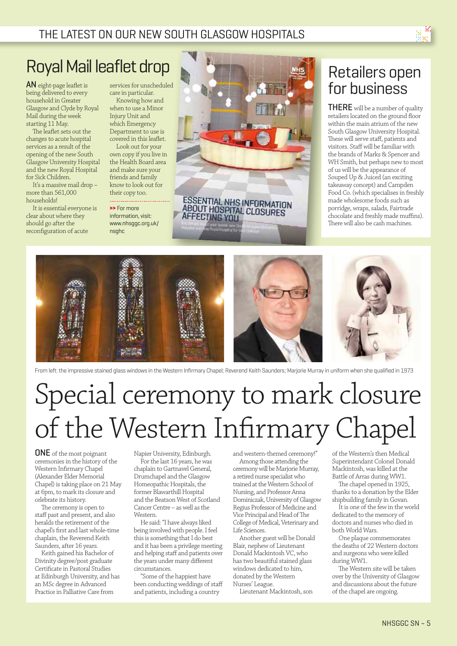

# Royal Mail leaflet drop

AN eight-page leaflet is being delivered to every household in Greater Glasgow and Clyde by Royal Mail during the week starting 11 May.

The leaflet sets out the changes to acute hospital services as a result of the opening of the new South Glasgow University Hospital and the new Royal Hospital for Sick Children.

It's a massive mail drop – more than 561,000 households!

It is essential everyone is clear about where they should go after the reconfiguration of acute

services for unscheduled care in particular. Knowing how and

when to use a Minor Injury Unit and which Emergency Department to use is covered in this leaflet.

Look out for your own copy if you live in the Health Board area and make sure your friends and family know to look out for their copy too.

**>>** For more information, visit: www.nhsggc.org.uk/ nsghc



## Retailers open for business

THERE will be a number of quality retailers located on the ground floor within the main atrium of the new South Glasgow University Hospital. These will serve staff, patients and visitors. Staff will be familiar with the brands of Marks & Spencer and WH Smith, but perhaps new to most of us will be the appearance of Souped Up & Juiced (an exciting takeaway concept) and Campden Food Co. (which specialises in freshly made wholesome foods such as porridge, wraps, salads, Fairtrade chocolate and freshly made muffins). There will also be cash machines.



From left: the impressive stained glass windows in the Western Infirmary Chapel; Reverend Keith Saunders; Marjorie Murray in uniform when she qualified in 1973

# Special ceremony to mark closure of the Western Infirmary Chapel

ONE of the most poignant ceremonies in the history of the Western Infirmary Chapel (Alexander Elder Memorial Chapel) is taking place on 21 May at 6pm, to mark its closure and celebrate its history.

The ceremony is open to staff past and present, and also heralds the retirement of the chapel's first and last whole-time chaplain, the Reverend Keith Saunders, after 16 years.

Keith gained his Bachelor of Divinity degree/post graduate Certificate in Pastoral Studies at Edinburgh University, and has an MSc degree in Advanced Practice in Palliative Care from

Napier University, Edinburgh. For the last 16 years, he was chaplain to Gartnavel General, Drumchapel and the Glasgow Homeopathic Hospitals, the former Blawarthill Hospital and the Beatson West of Scotland Cancer Centre – as well as the Western.

He said: "I have always liked being involved with people. I feel this is something that I do best and it has been a privilege meeting and helping staff and patients over the years under many different circumstances.

"Some of the happiest have been conducting weddings of staff and patients, including a country

and western-themed ceremony!"

Among those attending the ceremony will be Marjorie Murray, a retired nurse specialist who trained at the Western School of Nursing, and Professor Anna Dominiczak, University of Glasgow Regius Professor of Medicine and Vice Principal and Head of The College of Medical, Veterinary and Life Sciences.

Another guest will be Donald Blair, nephew of Lieutenant Donald Mackintosh VC, who has two beautiful stained glass windows dedicated to him, donated by the Western Nurses' League.

Lieutenant Mackintosh, son

of the Western's then Medical Superintendant Colonel Donald Mackintosh, was killed at the Battle of Arras during WW1.

The chapel opened in 1925, thanks to a donation by the Elder shipbuilding family in Govan.

It is one of the few in the world dedicated to the memory of doctors and nurses who died in both World Wars.

One plaque commemorates the deaths of 22 Western doctors and surgeons who were killed during WW1.

The Western site will be taken over by the University of Glasgow and discussions about the future of the chapel are ongoing.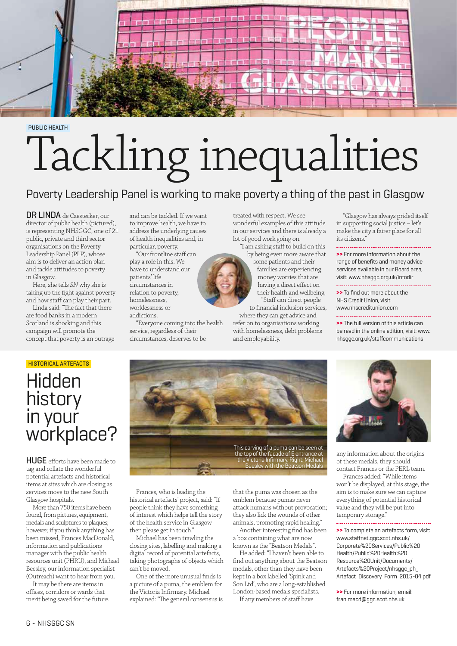

PUBLIC HEALTH

# Tackling inequalities

## Poverty Leadership Panel is working to make poverty a thing of the past in Glasgow

DR LINDA de Caestecker, our director of public health (pictured), is representing NHSGGC, one of 21 public, private and third sector organisations on the Poverty Leadership Panel (PLP), whose aim is to deliver an action plan and tackle attitudes to poverty in Glasgow.

Here, she tells *SN* why she is taking up the fight against poverty and how staff can play their part.

Linda said: "The fact that there are food banks in a modern Scotland is shocking and this campaign will promote the concept that poverty is an outrage

and can be tackled. If we want to improve health, we have to address the underlying causes of health inequalities and, in particular, poverty.

"Our frontline staff can play a role in this. We have to understand our patients' life circumstances in relation to poverty, homelessness, worklessness or

addictions.

"Everyone coming into the health service, regardless of their circumstances, deserves to be

treated with respect. We see wonderful examples of this attitude in our services and there is already a lot of good work going on.

"I am asking staff to build on this by being even more aware that

some patients and their families are experiencing money worries that are having a direct effect on their health and wellbeing. "Staff can direct people to financial inclusion services,

where they can get advice and refer on to organisations working with homelessness, debt problems and employability.

"Glasgow has always prided itself in supporting social justice – let's make the city a fairer place for all its citizens."

**>>** For more information about the range of benefits and money advice services available in our Board area, visit: www.nhsggc.org.uk/infodir

**>>** To find out more about the NHS Credit Union, visit: www.nhscreditunion.com 

**>>** The full version of this article can be read in the online edition, visit: www. nhsggc.org.uk/staffcommunications

## HISTORICAL ARTEFACTS **Hidden** history in your workplace?

HUGE efforts have been made to tag and collate the wonderful potential artefacts and historical items at sites which are closing as services move to the new South Glasgow hospitals.

More than 750 items have been found, from pictures, equipment, medals and sculptures to plaques; however, if you think anything has been missed, Frances MacDonald, information and publications manager with the public health resources unit (PHRU), and Michael Beesley, our information specialist (Outreach) want to hear from you.

It may be there are items in offices, corridors or wards that merit being saved for the future.



Frances, who is leading the historical artefacts' project, said: "If people think they have something of interest which helps tell the story of the health service in Glasgow then please get in touch."

Michael has been trawling the closing sites, labelling and making a digital record of potential artefacts, taking photographs of objects which can't be moved.

One of the more unusual finds is a picture of a puma, the emblem for the Victoria Infirmary. Michael explained: "The general consensus is that the puma was chosen as the emblem because pumas never attack humans without provocation; they also lick the wounds of other animals, promoting rapid healing."

Another interesting find has been a box containing what are now known as the "Beatson Medals".

He added: "I haven't been able to find out anything about the Beatson medals, other than they have been kept in a box labelled 'Spink and Son Ltd', who are a long-established London-based medals specialists.

If any members of staff have



any information about the origins of these medals, they should contact Frances or the PERL team.

Frances added: "While items won't be displayed, at this stage, the aim is to make sure we can capture everything of potential historical value and they will be put into temporary storage."

**>>** To complete an artefacts form, visit: www.staffnet.ggc.scot.nhs.uk/ Corporate%20Services/Public%20 Health/Public%20Health%20 Resource%20Unit/Documents/ Artefacts%20Project/nhsquc\_ph Artefact\_Discovery\_Form\_2015-04.pdf 

**>>** For more information, email: fran.macd@ggc.scot.nhs.uk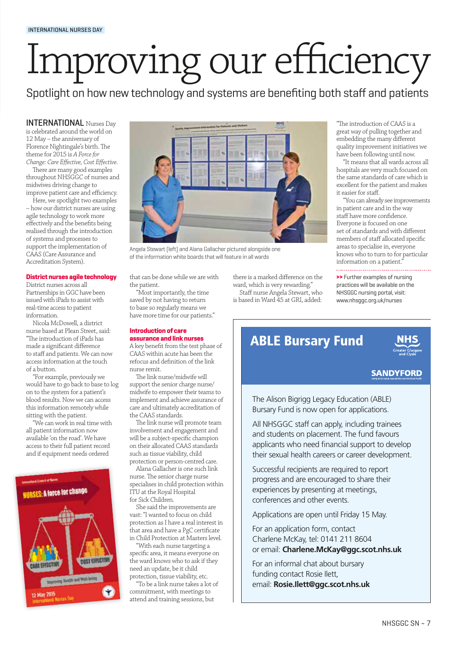# Improving our efficiency

Spotlight on how new technology and systems are benefiting both staff and patients

INTERNATIONAL Nurses Day is celebrated around the world on 12 May – the anniversary of Florence Nightingale's birth. The theme for 2015 is *A Force for Change: Care Effective, Cost Effective*.

There are many good examples throughout NHSGGC of nurses and midwives driving change to improve patient care and efficiency.

Here, we spotlight two examples – how our district nurses are using agile technology to work more effectively and the benefits being realised through the introduction of systems and processes to support the implementation of CAAS (Care Assurance and Accreditation System).

#### **District nurses agile technology**

District nurses across all Partnerships in GGC have been issued with iPads to assist with real-time access to patient information.

Nicola McDowell, a district nurse based at Plean Street, said: "The introduction of iPads has made a significant difference to staff and patients. We can now access information at the touch of a button.

"For example, previously we would have to go back to base to log on to the system for a patient's blood results. Now we can access this information remotely while sitting with the patient.

"We can work in real time with all patient information now available 'on the road'. We have access to their full patient record and if equipment needs ordered





Angela Stewart (left) and Alana Gallacher pictured alongside one of the information white boards that will feature in all wards

that can be done while we are with the patient.

"Most importantly, the time saved by not having to return to base so regularly means we have more time for our patients."

#### **Introduction of care assurance and link nurses**

A key benefit from the test phase of CAAS within acute has been the refocus and definition of the link nurse remit.

The link nurse/midwife will support the senior charge nurse/ midwife to empower their teams to implement and achieve assurance of care and ultimately accreditation of the CAAS standards.

The link nurse will promote team involvement and engagement and will be a subject-specific champion on their allocated CAAS standards such as tissue viability, child

protection or person-centred care. Alana Gallacher is one such link nurse. The senior charge nurse specialises in child protection within ITU at the Royal Hospital for Sick Children.

She said the improvements are vast: "I wanted to focus on child protection as I have a real interest in that area and have a PgC certificate in Child Protection at Masters level.

"With each nurse targeting a specific area, it means everyone on the ward knows who to ask if they need an update, be it child protection, tissue viability, etc.

"To be a link nurse takes a lot of commitment, with meetings to attend and training sessions, but

there is a marked difference on the ward, which is very rewarding."

Staff nurse Angela Stewart, who is based in Ward 45 at GRI, added:

"The introduction of CAAS is a great way of pulling together and embedding the many different quality improvement initiatives we have been following until now.

"It means that all wards across all hospitals are very much focused on the same standards of care which is excellent for the patient and makes it easier for staff.

"You can already see improvements in patient care and in the way staff have more confidence. Everyone is focused on one set of standards and with different members of staff allocated specific areas to specialise in, everyone knows who to turn to for particular information on a patient."

**>>** Further examples of nursing practices will be available on the

NHSGGC nursing portal, visit: www.nhsggc.org.uk/nurses

## ABLE Bursary Fund



#### **SANDYFORD**

The Alison Bigrigg Legacy Education (ABLE) Bursary Fund is now open for applications.

All NHSGGC staff can apply, including trainees and students on placement. The fund favours applicants who need financial support to develop their sexual health careers or career development.

Successful recipients are required to report progress and are encouraged to share their experiences by presenting at meetings, conferences and other events.

Applications are open until Friday 15 May.

For an application form, contact Charlene McKay, tel: 0141 211 8604 or email: **Charlene.McKay@ggc.scot.nhs.uk** 

For an informal chat about bursary funding contact Rosie Ilett, email: **Rosie.Ilett@ggc.scot.nhs.uk**